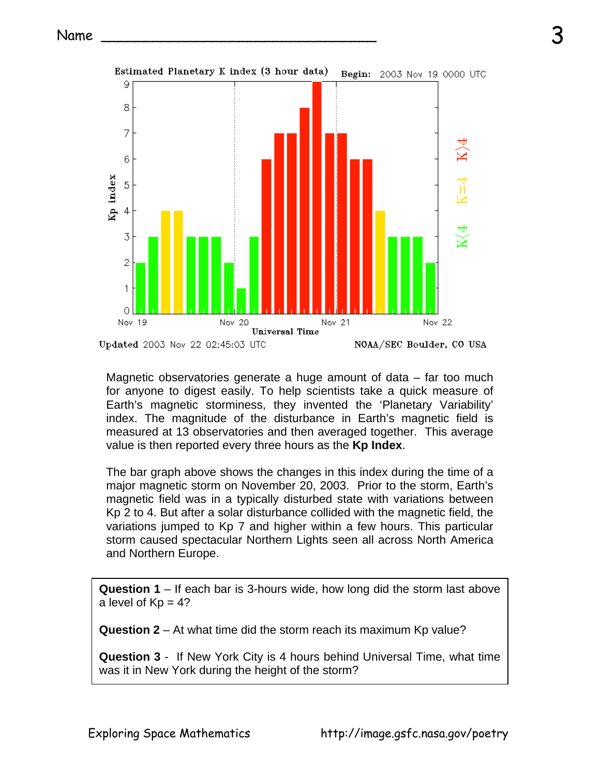

Magnetic observatories generate a huge amount of data – far too much for anyone to digest easily. To help scientists take a quick measure of Earth's magnetic storminess, they invented the 'Planetary Variability' index. The magnitude of the disturbance in Earth's magnetic field is measured at 13 observatories and then averaged together. This average value is then reported every three hours as the **Kp Index**.

The bar graph above shows the changes in this index during the time of a major magnetic storm on November 20, 2003. Prior to the storm, Earth's magnetic field was in a typically disturbed state with variations between Kp 2 to 4. But after a solar disturbance collided with the magnetic field, the variations jumped to Kp 7 and higher within a few hours. This particular storm caused spectacular Northern Lights seen all across North America and Northern Europe.

**Question 1** – If each bar is 3-hours wide, how long did the storm last above a level of  $Kp = 4$ ?

**Question 2** – At what time did the storm reach its maximum Kp value?

**Question 3** - If New York City is 4 hours behind Universal Time, what time was it in New York during the height of the storm?